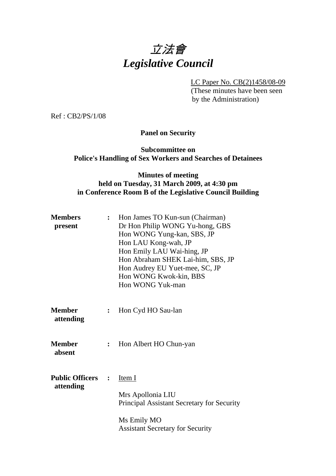

LC Paper No. CB(2)1458/08-09

 (These minutes have been seen by the Administration)

Ref : CB2/PS/1/08

**Panel on Security** 

#### **Subcommittee on Police's Handling of Sex Workers and Searches of Detainees**

### **Minutes of meeting held on Tuesday, 31 March 2009, at 4:30 pm in Conference Room B of the Legislative Council Building**

| <b>Members</b><br>present           | $\ddot{\cdot}$ | Hon James TO Kun-sun (Chairman)<br>Dr Hon Philip WONG Yu-hong, GBS<br>Hon WONG Yung-kan, SBS, JP<br>Hon LAU Kong-wah, JP<br>Hon Emily LAU Wai-hing, JP<br>Hon Abraham SHEK Lai-him, SBS, JP<br>Hon Audrey EU Yuet-mee, SC, JP<br>Hon WONG Kwok-kin, BBS<br>Hon WONG Yuk-man |
|-------------------------------------|----------------|-----------------------------------------------------------------------------------------------------------------------------------------------------------------------------------------------------------------------------------------------------------------------------|
| <b>Member</b><br>attending          | $\ddot{\cdot}$ | Hon Cyd HO Sau-lan                                                                                                                                                                                                                                                          |
| <b>Member</b><br>absent             | $\ddot{\cdot}$ | Hon Albert HO Chun-yan                                                                                                                                                                                                                                                      |
| <b>Public Officers</b><br>attending | $\ddot{\cdot}$ | <u>Item I</u><br>Mrs Apollonia LIU<br>Principal Assistant Secretary for Security<br>Ms Emily MO                                                                                                                                                                             |
|                                     |                | <b>Assistant Secretary for Security</b>                                                                                                                                                                                                                                     |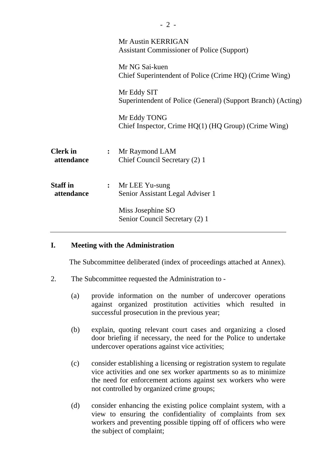|                               |                | Mr Austin KERRIGAN<br><b>Assistant Commissioner of Police (Support)</b>     |
|-------------------------------|----------------|-----------------------------------------------------------------------------|
|                               |                | Mr NG Sai-kuen<br>Chief Superintendent of Police (Crime HQ) (Crime Wing)    |
|                               |                | Mr Eddy SIT<br>Superintendent of Police (General) (Support Branch) (Acting) |
|                               |                | Mr Eddy TONG<br>Chief Inspector, Crime $HQ(1)$ ( $HQ$ Group) (Crime Wing)   |
| <b>Clerk</b> in<br>attendance | $\ddot{\cdot}$ | Mr Raymond LAM<br>Chief Council Secretary (2) 1                             |
| <b>Staff</b> in<br>attendance | $\ddot{\cdot}$ | Mr LEE Yu-sung<br>Senior Assistant Legal Adviser 1                          |
|                               |                | Miss Josephine SO<br>Senior Council Secretary (2) 1                         |

#### **I. Meeting with the Administration**

The Subcommittee deliberated (index of proceedings attached at Annex).

- 2. The Subcommittee requested the Administration to
	- (a) provide information on the number of undercover operations against organized prostitution activities which resulted in successful prosecution in the previous year;
	- (b) explain, quoting relevant court cases and organizing a closed door briefing if necessary, the need for the Police to undertake undercover operations against vice activities;
	- (c) consider establishing a licensing or registration system to regulate vice activities and one sex worker apartments so as to minimize the need for enforcement actions against sex workers who were not controlled by organized crime groups;
	- (d) consider enhancing the existing police complaint system, with a view to ensuring the confidentiality of complaints from sex workers and preventing possible tipping off of officers who were the subject of complaint;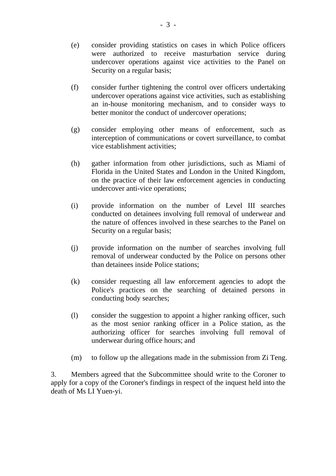- (e) consider providing statistics on cases in which Police officers were authorized to receive masturbation service during undercover operations against vice activities to the Panel on Security on a regular basis;
- (f) consider further tightening the control over officers undertaking undercover operations against vice activities, such as establishing an in-house monitoring mechanism, and to consider ways to better monitor the conduct of undercover operations;
- (g) consider employing other means of enforcement, such as interception of communications or covert surveillance, to combat vice establishment activities;
- (h) gather information from other jurisdictions, such as Miami of Florida in the United States and London in the United Kingdom, on the practice of their law enforcement agencies in conducting undercover anti-vice operations;
- (i) provide information on the number of Level III searches conducted on detainees involving full removal of underwear and the nature of offences involved in these searches to the Panel on Security on a regular basis;
- (j) provide information on the number of searches involving full removal of underwear conducted by the Police on persons other than detainees inside Police stations;
- (k) consider requesting all law enforcement agencies to adopt the Police's practices on the searching of detained persons in conducting body searches;
- (l) consider the suggestion to appoint a higher ranking officer, such as the most senior ranking officer in a Police station, as the authorizing officer for searches involving full removal of underwear during office hours; and
- (m) to follow up the allegations made in the submission from Zi Teng.

3. Members agreed that the Subcommittee should write to the Coroner to apply for a copy of the Coroner's findings in respect of the inquest held into the death of Ms LI Yuen-yi.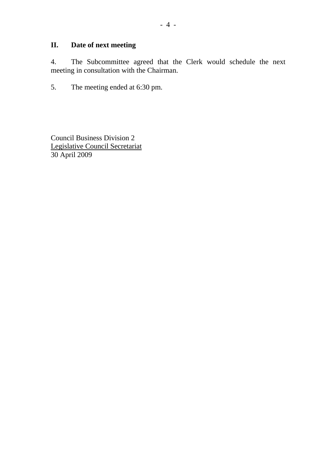# **II. Date of next meeting**

4. The Subcommittee agreed that the Clerk would schedule the next meeting in consultation with the Chairman.

5. The meeting ended at 6:30 pm.

Council Business Division 2 Legislative Council Secretariat 30 April 2009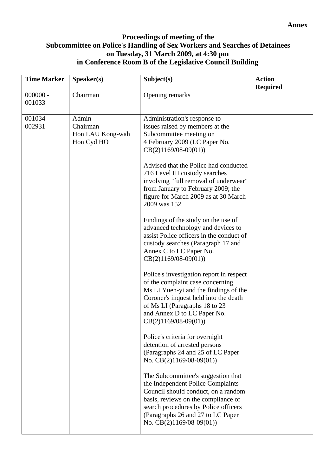## **Proceedings of meeting of the Subcommittee on Police's Handling of Sex Workers and Searches of Detainees on Tuesday, 31 March 2009, at 4:30 pm in Conference Room B of the Legislative Council Building**

| <b>Time Marker</b>   | S <sub>p</sub> e <sub>aker</sub> (s)                | Subject(s)                                                                                                                                                                                                                                                      | <b>Action</b><br><b>Required</b> |
|----------------------|-----------------------------------------------------|-----------------------------------------------------------------------------------------------------------------------------------------------------------------------------------------------------------------------------------------------------------------|----------------------------------|
| $000000 -$<br>001033 | Chairman                                            | Opening remarks                                                                                                                                                                                                                                                 |                                  |
| $001034 -$<br>002931 | Admin<br>Chairman<br>Hon LAU Kong-wah<br>Hon Cyd HO | Administration's response to<br>issues raised by members at the<br>Subcommittee meeting on<br>4 February 2009 (LC Paper No.<br>$CB(2)1169/08-09(01))$                                                                                                           |                                  |
|                      |                                                     | Advised that the Police had conducted<br>716 Level III custody searches<br>involving "full removal of underwear"<br>from January to February 2009; the<br>figure for March 2009 as at 30 March<br>2009 was 152                                                  |                                  |
|                      |                                                     | Findings of the study on the use of<br>advanced technology and devices to<br>assist Police officers in the conduct of<br>custody searches (Paragraph 17 and<br>Annex C to LC Paper No.<br>$CB(2)1169/08-09(01))$                                                |                                  |
|                      |                                                     | Police's investigation report in respect<br>of the complaint case concerning<br>Ms LI Yuen-yi and the findings of the<br>Coroner's inquest held into the death<br>of Ms LI (Paragraphs 18 to 23<br>and Annex D to LC Paper No.<br>$CB(2)1169/08-09(01))$        |                                  |
|                      |                                                     | Police's criteria for overnight<br>detention of arrested persons<br>(Paragraphs 24 and 25 of LC Paper)<br>No. $CB(2)1169/08-09(01)$                                                                                                                             |                                  |
|                      |                                                     | The Subcommittee's suggestion that<br>the Independent Police Complaints<br>Council should conduct, on a random<br>basis, reviews on the compliance of<br>search procedures by Police officers<br>(Paragraphs 26 and 27 to LC Paper<br>No. $CB(2)1169/08-09(01)$ |                                  |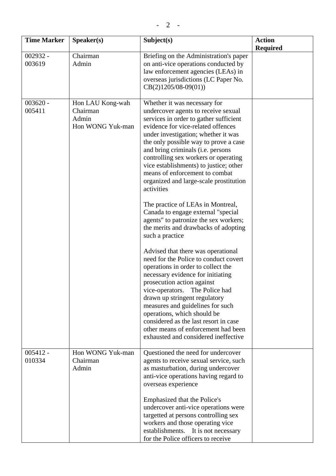| <b>Time Marker</b>   | Speaker(s)                                                | Subject(s)                                                                                                                                                                                                                                                                                                                                                                                                                                                                                                                                                                                   | <b>Action</b><br><b>Required</b> |
|----------------------|-----------------------------------------------------------|----------------------------------------------------------------------------------------------------------------------------------------------------------------------------------------------------------------------------------------------------------------------------------------------------------------------------------------------------------------------------------------------------------------------------------------------------------------------------------------------------------------------------------------------------------------------------------------------|----------------------------------|
| $002932 -$<br>003619 | Chairman<br>Admin                                         | Briefing on the Administration's paper<br>on anti-vice operations conducted by<br>law enforcement agencies (LEAs) in<br>overseas jurisdictions (LC Paper No.<br>$CB(2)1205/08-09(01))$                                                                                                                                                                                                                                                                                                                                                                                                       |                                  |
| $003620 -$<br>005411 | Hon LAU Kong-wah<br>Chairman<br>Admin<br>Hon WONG Yuk-man | Whether it was necessary for<br>undercover agents to receive sexual<br>services in order to gather sufficient<br>evidence for vice-related offences<br>under investigation; whether it was<br>the only possible way to prove a case<br>and bring criminals (i.e. persons<br>controlling sex workers or operating<br>vice establishments) to justice; other<br>means of enforcement to combat<br>organized and large-scale prostitution<br>activities<br>The practice of LEAs in Montreal,<br>Canada to engage external "special                                                              |                                  |
| $005412 -$           | Hon WONG Yuk-man                                          | agents" to patronize the sex workers;<br>the merits and drawbacks of adopting<br>such a practice<br>Advised that there was operational<br>need for the Police to conduct covert<br>operations in order to collect the<br>necessary evidence for initiating<br>prosecution action against<br>vice-operators. The Police had<br>drawn up stringent regulatory<br>measures and guidelines for such<br>operations, which should be<br>considered as the last resort in case<br>other means of enforcement had been<br>exhausted and considered ineffective<br>Questioned the need for undercover |                                  |
| 010334               | Chairman<br>Admin                                         | agents to receive sexual service, such<br>as masturbation, during undercover<br>anti-vice operations having regard to<br>overseas experience<br>Emphasized that the Police's<br>undercover anti-vice operations were<br>targetted at persons controlling sex<br>workers and those operating vice<br>establishments.<br>It is not necessary<br>for the Police officers to receive                                                                                                                                                                                                             |                                  |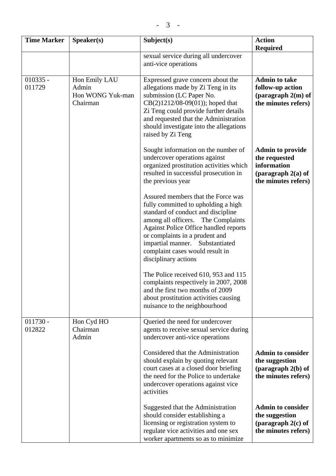| <b>Time Marker</b>   | Speaker(s)                                             | Subject(s)                                                                                                                                                                                                                                                                                                                     | <b>Action</b><br><b>Required</b>                                                                       |
|----------------------|--------------------------------------------------------|--------------------------------------------------------------------------------------------------------------------------------------------------------------------------------------------------------------------------------------------------------------------------------------------------------------------------------|--------------------------------------------------------------------------------------------------------|
|                      |                                                        | sexual service during all undercover<br>anti-vice operations                                                                                                                                                                                                                                                                   |                                                                                                        |
| $010335 -$<br>011729 | Hon Emily LAU<br>Admin<br>Hon WONG Yuk-man<br>Chairman | Expressed grave concern about the<br>allegations made by Zi Teng in its<br>submission (LC Paper No.<br>$CB(2)1212/08-09(01)$ ; hoped that<br>Zi Teng could provide further details<br>and requested that the Administration<br>should investigate into the allegations<br>raised by Zi Teng                                    | <b>Admin to take</b><br>follow-up action<br>(paragraph $2(m)$ of<br>the minutes refers)                |
|                      |                                                        | Sought information on the number of<br>undercover operations against<br>organized prostitution activities which<br>resulted in successful prosecution in<br>the previous year                                                                                                                                                  | <b>Admin to provide</b><br>the requested<br>information<br>(paragraph $2(a)$ of<br>the minutes refers) |
|                      |                                                        | Assured members that the Force was<br>fully committed to upholding a high<br>standard of conduct and discipline<br>among all officers. The Complaints<br>Against Police Office handled reports<br>or complaints in a prudent and<br>impartial manner. Substantiated<br>complaint cases would result in<br>disciplinary actions |                                                                                                        |
|                      |                                                        | The Police received 610, 953 and 115<br>complaints respectively in 2007, 2008<br>and the first two months of 2009<br>about prostitution activities causing<br>nuisance to the neighbourhood                                                                                                                                    |                                                                                                        |
| $011730 -$<br>012822 | Hon Cyd HO<br>Chairman<br>Admin                        | Queried the need for undercover<br>agents to receive sexual service during<br>undercover anti-vice operations                                                                                                                                                                                                                  |                                                                                                        |
|                      |                                                        | Considered that the Administration<br>should explain by quoting relevant<br>court cases at a closed door briefing<br>the need for the Police to undertake<br>undercover operations against vice<br>activities                                                                                                                  | <b>Admin to consider</b><br>the suggestion<br>(paragraph $2(b)$ of<br>the minutes refers)              |
|                      |                                                        | Suggested that the Administration<br>should consider establishing a<br>licensing or registration system to<br>regulate vice activities and one sex<br>worker apartments so as to minimize                                                                                                                                      | <b>Admin to consider</b><br>the suggestion<br>(paragraph $2(c)$ of<br>the minutes refers)              |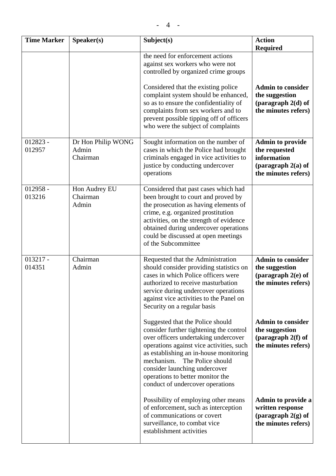| <b>Time Marker</b> | S <sub>p</sub> e <sub>aker(s)</sub>     | Subject(s)                                                                                                                                                                                                                                                                                                                                                | <b>Action</b><br><b>Required</b>                                                                       |
|--------------------|-----------------------------------------|-----------------------------------------------------------------------------------------------------------------------------------------------------------------------------------------------------------------------------------------------------------------------------------------------------------------------------------------------------------|--------------------------------------------------------------------------------------------------------|
|                    |                                         | the need for enforcement actions<br>against sex workers who were not<br>controlled by organized crime groups                                                                                                                                                                                                                                              |                                                                                                        |
|                    |                                         | Considered that the existing police<br>complaint system should be enhanced,<br>so as to ensure the confidentiality of<br>complaints from sex workers and to<br>prevent possible tipping off of officers<br>who were the subject of complaints                                                                                                             | <b>Admin to consider</b><br>the suggestion<br>(paragraph $2(d)$ of<br>the minutes refers)              |
| 012823 -<br>012957 | Dr Hon Philip WONG<br>Admin<br>Chairman | Sought information on the number of<br>cases in which the Police had brought<br>criminals engaged in vice activities to<br>justice by conducting undercover<br>operations                                                                                                                                                                                 | <b>Admin to provide</b><br>the requested<br>information<br>(paragraph $2(a)$ of<br>the minutes refers) |
| 012958 -<br>013216 | Hon Audrey EU<br>Chairman<br>Admin      | Considered that past cases which had<br>been brought to court and proved by<br>the prosecution as having elements of<br>$\mathbf{r}$ , and the contract of the contract of the contract of the contract of the contract of the contract of the contract of the contract of the contract of the contract of the contract of the contract of the contract o |                                                                                                        |

|                      |                                         | who were the subject of complaints                                                                                                                                                                                                                                                                                                                    |                                                                                                        |
|----------------------|-----------------------------------------|-------------------------------------------------------------------------------------------------------------------------------------------------------------------------------------------------------------------------------------------------------------------------------------------------------------------------------------------------------|--------------------------------------------------------------------------------------------------------|
| $012823 -$<br>012957 | Dr Hon Philip WONG<br>Admin<br>Chairman | Sought information on the number of<br>cases in which the Police had brought<br>criminals engaged in vice activities to<br>justice by conducting undercover<br>operations                                                                                                                                                                             | <b>Admin to provide</b><br>the requested<br>information<br>(paragraph $2(a)$ of<br>the minutes refers) |
| $012958 -$<br>013216 | Hon Audrey EU<br>Chairman<br>Admin      | Considered that past cases which had<br>been brought to court and proved by<br>the prosecution as having elements of<br>crime, e.g. organized prostitution<br>activities, on the strength of evidence<br>obtained during undercover operations<br>could be discussed at open meetings<br>of the Subcommittee                                          |                                                                                                        |
| $013217 -$<br>014351 | Chairman<br>Admin                       | Requested that the Administration<br>should consider providing statistics on<br>cases in which Police officers were<br>authorized to receive masturbation<br>service during undercover operations<br>against vice activities to the Panel on<br>Security on a regular basis                                                                           | <b>Admin to consider</b><br>the suggestion<br>(paragraph $2(e)$ of<br>the minutes refers)              |
|                      |                                         | Suggested that the Police should<br>consider further tightening the control<br>over officers undertaking undercover<br>operations against vice activities, such<br>as establishing an in-house monitoring<br>mechanism.<br>The Police should<br>consider launching undercover<br>operations to better monitor the<br>conduct of undercover operations | <b>Admin to consider</b><br>the suggestion<br>(paragraph $2(f)$ of<br>the minutes refers)              |
|                      |                                         | Possibility of employing other means<br>of enforcement, such as interception<br>of communications or covert<br>surveillance, to combat vice<br>establishment activities                                                                                                                                                                               | Admin to provide a<br>written response<br>(paragraph 2(g) of<br>the minutes refers)                    |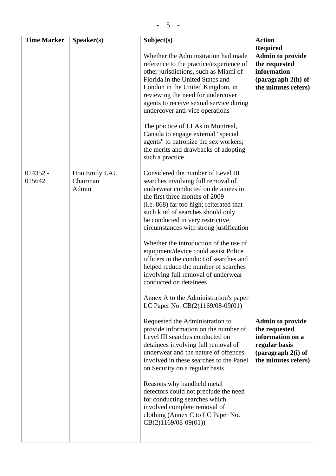| <b>Time Marker</b>   | Speaker(s)                         | Subject(s)                                                                                                                                                                                                                                                                                                                                                                                                                                                                                                                                                                                                                                                                                                                                                                                                                                                                                                                                                                                                                                                                                                            | <b>Action</b><br><b>Required</b>                                                                                             |
|----------------------|------------------------------------|-----------------------------------------------------------------------------------------------------------------------------------------------------------------------------------------------------------------------------------------------------------------------------------------------------------------------------------------------------------------------------------------------------------------------------------------------------------------------------------------------------------------------------------------------------------------------------------------------------------------------------------------------------------------------------------------------------------------------------------------------------------------------------------------------------------------------------------------------------------------------------------------------------------------------------------------------------------------------------------------------------------------------------------------------------------------------------------------------------------------------|------------------------------------------------------------------------------------------------------------------------------|
|                      |                                    | Whether the Administration had made<br>reference to the practice/experience of<br>other jurisdictions, such as Miami of<br>Florida in the United States and<br>London in the United Kingdom, in<br>reviewing the need for undercover<br>agents to receive sexual service during<br>undercover anti-vice operations<br>The practice of LEAs in Montreal,<br>Canada to engage external "special"<br>agents" to patronize the sex workers;<br>the merits and drawbacks of adopting<br>such a practice                                                                                                                                                                                                                                                                                                                                                                                                                                                                                                                                                                                                                    | <b>Admin to provide</b><br>the requested<br>information<br>(paragraph $2(h)$ of<br>the minutes refers)                       |
| $014352 -$<br>015642 | Hon Emily LAU<br>Chairman<br>Admin | Considered the number of Level III<br>searches involving full removal of<br>underwear conducted on detainees in<br>the first three months of 2009<br>(i.e. 868) far too high; reiterated that<br>such kind of searches should only<br>be conducted in very restrictive<br>circumstances with strong justification<br>Whether the introduction of the use of<br>equipment/device could assist Police<br>officers in the conduct of searches and<br>helped reduce the number of searches<br>involving full removal of underwear<br>conducted on detainees<br>Annex A to the Administration's paper<br>LC Paper No. CB(2)1169/08-09(01)<br>Requested the Administration to<br>provide information on the number of<br>Level III searches conducted on<br>detainees involving full removal of<br>underwear and the nature of offences<br>involved in these searches to the Panel<br>on Security on a regular basis<br>Reasons why handheld metal<br>detectors could not preclude the need<br>for conducting searches which<br>involved complete removal of<br>clothing (Annex C to LC Paper No.<br>$CB(2)1169/08-09(01))$ | <b>Admin to provide</b><br>the requested<br>information on a<br>regular basis<br>(paragraph $2(i)$ of<br>the minutes refers) |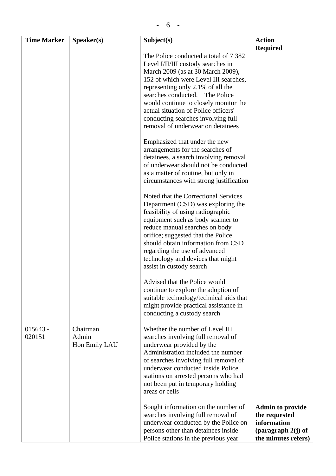| <b>Time Marker</b>   | S <sub>p</sub> e <sub>aker</sub> (s) | Subject(s)                                                                                                                                                                                                                                                                                                                                                                                                                                                                                                                                                                                                                           | <b>Action</b>                                                                                          |
|----------------------|--------------------------------------|--------------------------------------------------------------------------------------------------------------------------------------------------------------------------------------------------------------------------------------------------------------------------------------------------------------------------------------------------------------------------------------------------------------------------------------------------------------------------------------------------------------------------------------------------------------------------------------------------------------------------------------|--------------------------------------------------------------------------------------------------------|
|                      |                                      |                                                                                                                                                                                                                                                                                                                                                                                                                                                                                                                                                                                                                                      | <b>Required</b>                                                                                        |
|                      |                                      | The Police conducted a total of 7 382<br>Level I/II/III custody searches in<br>March 2009 (as at 30 March 2009),<br>152 of which were Level III searches,<br>representing only 2.1% of all the<br>searches conducted. The Police<br>would continue to closely monitor the<br>actual situation of Police officers'<br>conducting searches involving full<br>removal of underwear on detainees<br>Emphasized that under the new<br>arrangements for the searches of<br>detainees, a search involving removal<br>of underwear should not be conducted<br>as a matter of routine, but only in<br>circumstances with strong justification |                                                                                                        |
|                      |                                      | Noted that the Correctional Services<br>Department (CSD) was exploring the<br>feasibility of using radiographic<br>equipment such as body scanner to<br>reduce manual searches on body<br>orifice; suggested that the Police<br>should obtain information from CSD<br>regarding the use of advanced<br>technology and devices that might<br>assist in custody search                                                                                                                                                                                                                                                                 |                                                                                                        |
|                      |                                      | Advised that the Police would<br>continue to explore the adoption of<br>suitable technology/technical aids that<br>might provide practical assistance in<br>conducting a custody search                                                                                                                                                                                                                                                                                                                                                                                                                                              |                                                                                                        |
| $015643 -$<br>020151 | Chairman<br>Admin<br>Hon Emily LAU   | Whether the number of Level III<br>searches involving full removal of<br>underwear provided by the<br>Administration included the number<br>of searches involving full removal of<br>underwear conducted inside Police<br>stations on arrested persons who had<br>not been put in temporary holding<br>areas or cells                                                                                                                                                                                                                                                                                                                |                                                                                                        |
|                      |                                      | Sought information on the number of<br>searches involving full removal of<br>underwear conducted by the Police on<br>persons other than detainees inside<br>Police stations in the previous year                                                                                                                                                                                                                                                                                                                                                                                                                                     | <b>Admin to provide</b><br>the requested<br>information<br>(paragraph $2(j)$ of<br>the minutes refers) |